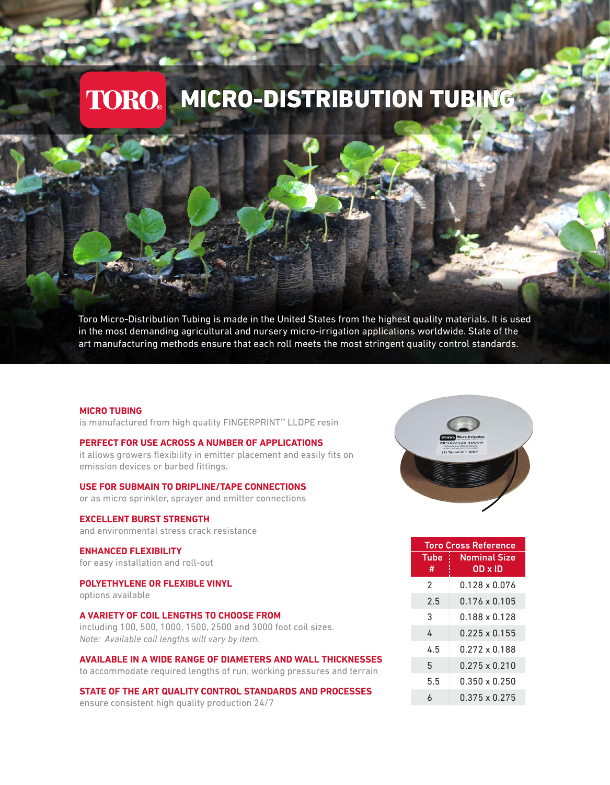# TORO. MICRO-DISTRIBUTION TUBING

Toro Micro-Distribution Tubing is made in the United States from the highest quality materials. It is used in the most demanding agricultural and nursery micro-irrigation applications worldwide. State of the art manufacturing methods ensure that each roll meets the most stringent quality control standards.

#### **MICRO TUBING**

is manufactured from high quality FINGERPRINT™ LLDPE resin

### **PERFECT FOR USE ACROSS A NUMBER OF APPLICATIONS**

it allows growers flexibility in emitter placement and easily fits on emission devices or barbed fittings.

**USE FOR SUBMAIN TO DRIPLINE/TAPE CONNECTIONS** 

or as micro sprinkler, sprayer and emitter connections

### **EXCELLENT BURST STRENGTH**

and environmental stress crack resistance

# **ENHANCED FLEXIBILITY**

for easy installation and roll-out

#### **POLYETHYLENE OR FLEXIBLE VINYL**  options available

## **A VARIETY OF COIL LENGTHS TO CHOOSE FROM**

including 100, 500, 1000, 1500, 2500 and 3000 foot coil sizes. *Note: Available coil lengths will vary by item.*

**AVAILABLE IN A WIDE RANGE OF DIAMETERS AND WALL THICKNESSES** to accommodate required lengths of run, working pressures and terrain

**STATE OF THE ART QUALITY CONTROL STANDARDS AND PROCESSES**  ensure consistent high quality production 24/7



| <b>Toro Cross Reference</b> |                                |  |  |  |  |  |
|-----------------------------|--------------------------------|--|--|--|--|--|
| Tube<br>#                   | <b>Nominal Size</b><br>OD x ID |  |  |  |  |  |
| 2                           | $0.128 \times 0.076$           |  |  |  |  |  |
| 2.5                         | $0.176 \times 0.105$           |  |  |  |  |  |
| 3                           | 0.188 x 0.128                  |  |  |  |  |  |
| 4                           | $0.225 \times 0.155$           |  |  |  |  |  |
| 45                          | $0.272 \times 0.188$           |  |  |  |  |  |
| 5                           | $0.275 \times 0.210$           |  |  |  |  |  |
| 5.5                         | $0.350 \times 0.250$           |  |  |  |  |  |
| ሐ                           | $0.375 \times 0.275$           |  |  |  |  |  |